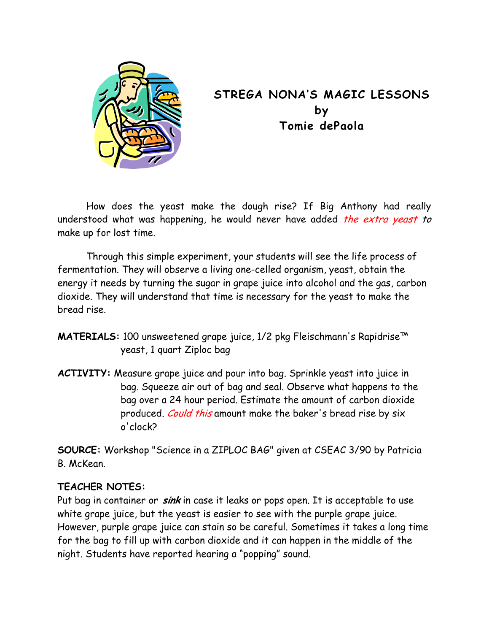

## **STREGA NONA'S MAGIC LESSONS by Tomie dePaola**

How does the yeast make the dough rise? If Big Anthony had really understood what was happening, he would never have added the extra yeast to make up for lost time.

Through this simple experiment, your students will see the life process of fermentation. They will observe a living one-celled organism, yeast, obtain the energy it needs by turning the sugar in grape juice into alcohol and the gas, carbon dioxide. They will understand that time is necessary for the yeast to make the bread rise.

**MATERIALS:** 100 unsweetened grape juice, 1/2 pkg Fleischmann's Rapidrise™ yeast, 1 quart Ziploc bag

**ACTIVITY:** Measure grape juice and pour into bag. Sprinkle yeast into juice in bag. Squeeze air out of bag and seal. Observe what happens to the bag over a 24 hour period. Estimate the amount of carbon dioxide produced. Could this amount make the baker's bread rise by six o'clock?

**SOURCE:** Workshop "Science in a ZIPLOC BAG" given at CSEAC 3/90 by Patricia B. McKean.

## **TEACHER NOTES:**

Put bag in container or **sink** in case it leaks or pops open. It is acceptable to use white grape juice, but the yeast is easier to see with the purple grape juice. However, purple grape juice can stain so be careful. Sometimes it takes a long time for the bag to fill up with carbon dioxide and it can happen in the middle of the night. Students have reported hearing a "popping" sound.